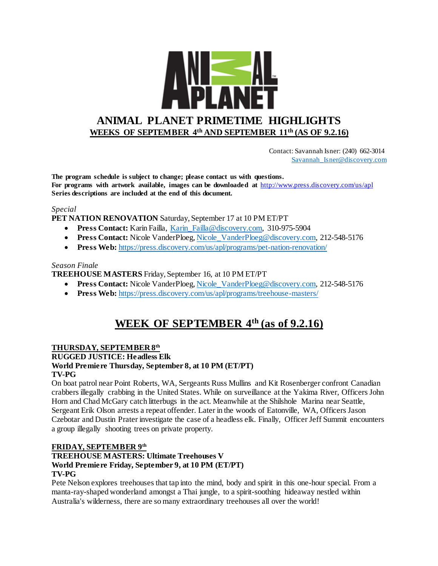

 Contact: Savannah Isner: (240) 662-3014 [Savannah\\_Isner@discovery.com](mailto:Savannah_Isner@discovery.com)

**The program schedule is subject to change; please contact us with questions. For programs with artwork available, images can be downloaded at** http://www.press.discovery.com/us/apl **Series descriptions are included at the end of this document.** 

#### *Special*

**PET NATION RENOVATION** Saturday, September 17 at 10 PM ET/PT

- **Press Contact:** Karin Failla, Karin Failla@discovery.com, 310-975-5904
- **Press Contact:** Nicole VanderPloeg, Nicole VanderPloeg@discovery.com, 212-548-5176
- **Press Web:** <https://press.discovery.com/us/apl/programs/pet-nation-renovation/>

#### *Season Finale*

**TREEHOUSE MASTERS** Friday, September 16, at 10 PM ET/PT

- **Press Contact:** Nicole VanderPloeg[, Nicole\\_VanderPloeg@discovery.com,](mailto:Nicole_VanderPloeg@discovery.com) 212-548-5176
- **Press Web:** <https://press.discovery.com/us/apl/programs/treehouse-masters/>

# **WEEK OF SEPTEMBER 4th (as of 9.2.16)**

### **THURSDAY, SEPTEMBER 8 th**

**RUGGED JUSTICE: Headless Elk**

### **World Premiere Thursday, September 8, at 10 PM (ET/PT)**

#### **TV-PG**

On boat patrol near Point Roberts, WA, Sergeants Russ Mullins and Kit Rosenberger confront Canadian crabbers illegally crabbing in the United States. While on surveillance at the Yakima River, Officers John Horn and Chad McGary catch litterbugs in the act. Meanwhile at the Shilshole Marina near Seattle, Sergeant Erik Olson arrests a repeat offender. Later in the woods of Eatonville, WA, Officers Jason Czebotar and Dustin Prater investigate the case of a headless elk. Finally, Officer Jeff Summit encounters a group illegally shooting trees on private property.

### **FRIDAY, SEPTEMBER 9 th**

#### **TREEHOUSE MASTERS: Ultimate Treehouses V World Premiere Friday, September 9, at 10 PM (ET/PT) TV-PG**

Pete Nelson explores treehouses that tap into the mind, body and spirit in this one-hour special. From a manta-ray-shaped wonderland amongst a Thai jungle, to a spirit-soothing hideaway nestled within Australia's wilderness, there are so many extraordinary treehouses all over the world!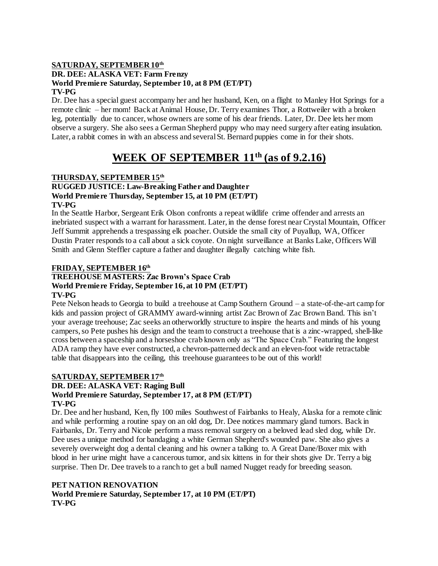#### **SATURDAY, SEPTEMBER 10th DR. DEE: ALASKA VET: Farm Frenzy World Premiere Saturday, September 10, at 8 PM (ET/PT) TV-PG**

Dr. Dee has a special guest accompany her and her husband, Ken, on a flight to Manley Hot Springs for a remote clinic – her mom! Back at Animal House, Dr. Terry examines Thor, a Rottweiler with a broken leg, potentially due to cancer, whose owners are some of his dear friends. Later, Dr. Dee lets her mom observe a surgery. She also sees a German Shepherd puppy who may need surgery after eating insulation. Later, a rabbit comes in with an abscess and several St. Bernard puppies come in for their shots.

# **WEEK OF SEPTEMBER 11th (as of 9.2.16)**

### **THURSDAY, SEPTEMBER 15th**

### **RUGGED JUSTICE: Law-Breaking Father and Daughter World Premiere Thursday, September 15, at 10 PM (ET/PT)**

#### **TV-PG**

In the Seattle Harbor, Sergeant Erik Olson confronts a repeat wildlife crime offender and arrests an inebriated suspect with a warrant for harassment. Later, in the dense forest near Crystal Mountain, Officer Jeff Summit apprehends a trespassing elk poacher. Outside the small city of Puyallup, WA, Officer Dustin Prater responds to a call about a sick coyote. On night surveillance at Banks Lake, Officers Will Smith and Glenn Steffler capture a father and daughter illegally catching white fish.

#### **FRIDAY, SEPTEMBER 16th**

#### **TREEHOUSE MASTERS: Zac Brown's Space Crab World Premiere Friday, September 16, at 10 PM (ET/PT) TV-PG**

#### Pete Nelson heads to Georgia to build a treehouse at Camp Southern Ground – a state-of-the-art camp for kids and passion project of GRAMMY award-winning artist Zac Brown of Zac Brown Band. This isn't your average treehouse; Zac seeks an otherworldly structure to inspire the hearts and minds of his young campers, so Pete pushes his design and the team to construct a treehouse that is a zinc-wrapped, shell-like cross between a spaceship and a horseshoe crab known only as "The Space Crab." Featuring the longest ADA ramp they have ever constructed, a chevron-patterned deck and an eleven-foot wide retractable table that disappears into the ceiling, this treehouse guarantees to be out of this world!

### **SATURDAY, SEPTEMBER 17th DR. DEE: ALASKA VET: Raging Bull World Premiere Saturday, September 17, at 8 PM (ET/PT)**

#### **TV-PG**

Dr. Dee and her husband, Ken, fly 100 miles Southwest of Fairbanks to Healy, Alaska for a remote clinic and while performing a routine spay on an old dog, Dr. Dee notices mammary gland tumors. Back in Fairbanks, Dr. Terry and Nicole perform a mass removal surgery on a beloved lead sled dog, while Dr. Dee uses a unique method for bandaging a white German Shepherd's wounded paw. She also gives a severely overweight dog a dental cleaning and his owner a talking to. A Great Dane/Boxer mix with blood in her urine might have a cancerous tumor, and six kittens in for their shots give Dr. Terry a big surprise. Then Dr. Dee travels to a ranch to get a bull named Nugget ready for breeding season.

### **PET NATION RENOVATION World Premiere Saturday, September 17, at 10 PM (ET/PT) TV-PG**